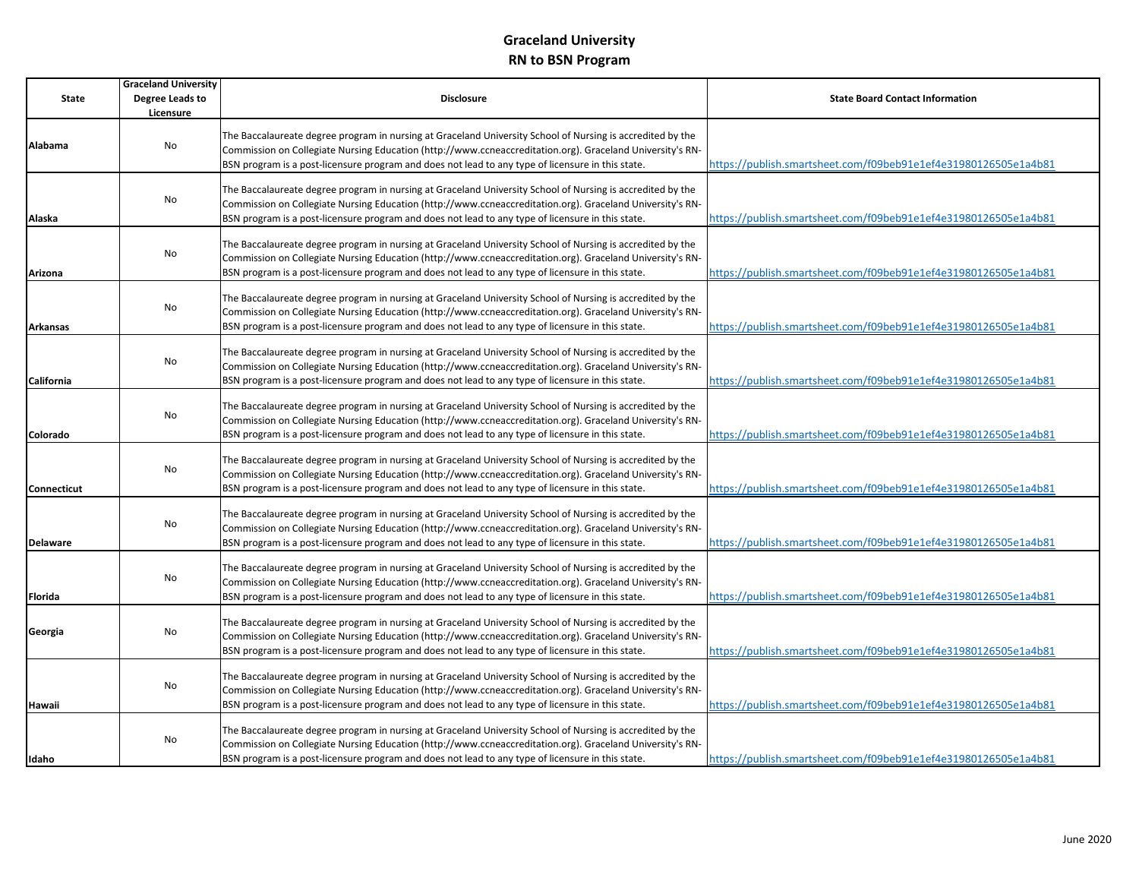|                 | <b>Graceland University</b> |                                                                                                                                                                                                                                                                                                                              |                                                                 |
|-----------------|-----------------------------|------------------------------------------------------------------------------------------------------------------------------------------------------------------------------------------------------------------------------------------------------------------------------------------------------------------------------|-----------------------------------------------------------------|
| <b>State</b>    | Degree Leads to             | <b>Disclosure</b>                                                                                                                                                                                                                                                                                                            | <b>State Board Contact Information</b>                          |
|                 | Licensure                   |                                                                                                                                                                                                                                                                                                                              |                                                                 |
| Alabama         | No                          | The Baccalaureate degree program in nursing at Graceland University School of Nursing is accredited by the<br>Commission on Collegiate Nursing Education (http://www.ccneaccreditation.org). Graceland University's RN-<br>BSN program is a post-licensure program and does not lead to any type of licensure in this state. | https://publish.smartsheet.com/f09beb91e1ef4e31980126505e1a4b81 |
| Alaska          | No                          | The Baccalaureate degree program in nursing at Graceland University School of Nursing is accredited by the<br>Commission on Collegiate Nursing Education (http://www.ccneaccreditation.org). Graceland University's RN-<br>BSN program is a post-licensure program and does not lead to any type of licensure in this state. | https://publish.smartsheet.com/f09beb91e1ef4e31980126505e1a4b81 |
| Arizona         | No                          | The Baccalaureate degree program in nursing at Graceland University School of Nursing is accredited by the<br>Commission on Collegiate Nursing Education (http://www.ccneaccreditation.org). Graceland University's RN-<br>BSN program is a post-licensure program and does not lead to any type of licensure in this state. | https://publish.smartsheet.com/f09beb91e1ef4e31980126505e1a4b81 |
| Arkansas        | No                          | The Baccalaureate degree program in nursing at Graceland University School of Nursing is accredited by the<br>Commission on Collegiate Nursing Education (http://www.ccneaccreditation.org). Graceland University's RN-<br>BSN program is a post-licensure program and does not lead to any type of licensure in this state. | https://publish.smartsheet.com/f09beb91e1ef4e31980126505e1a4b81 |
| California      | No                          | The Baccalaureate degree program in nursing at Graceland University School of Nursing is accredited by the<br>Commission on Collegiate Nursing Education (http://www.ccneaccreditation.org). Graceland University's RN-<br>BSN program is a post-licensure program and does not lead to any type of licensure in this state. | https://publish.smartsheet.com/f09beb91e1ef4e31980126505e1a4b81 |
| Colorado        | No                          | The Baccalaureate degree program in nursing at Graceland University School of Nursing is accredited by the<br>Commission on Collegiate Nursing Education (http://www.ccneaccreditation.org). Graceland University's RN-<br>BSN program is a post-licensure program and does not lead to any type of licensure in this state. | https://publish.smartsheet.com/f09beb91e1ef4e31980126505e1a4b81 |
| Connecticut     | No                          | The Baccalaureate degree program in nursing at Graceland University School of Nursing is accredited by the<br>Commission on Collegiate Nursing Education (http://www.ccneaccreditation.org). Graceland University's RN-<br>BSN program is a post-licensure program and does not lead to any type of licensure in this state. | https://publish.smartsheet.com/f09beb91e1ef4e31980126505e1a4b81 |
| <b>Delaware</b> | No                          | The Baccalaureate degree program in nursing at Graceland University School of Nursing is accredited by the<br>Commission on Collegiate Nursing Education (http://www.ccneaccreditation.org). Graceland University's RN-<br>BSN program is a post-licensure program and does not lead to any type of licensure in this state. | https://publish.smartsheet.com/f09beb91e1ef4e31980126505e1a4b81 |
| Florida         | No                          | The Baccalaureate degree program in nursing at Graceland University School of Nursing is accredited by the<br>Commission on Collegiate Nursing Education (http://www.ccneaccreditation.org). Graceland University's RN-<br>BSN program is a post-licensure program and does not lead to any type of licensure in this state. | https://publish.smartsheet.com/f09beb91e1ef4e31980126505e1a4b81 |
| Georgia         | No                          | The Baccalaureate degree program in nursing at Graceland University School of Nursing is accredited by the<br>Commission on Collegiate Nursing Education (http://www.ccneaccreditation.org). Graceland University's RN-<br>BSN program is a post-licensure program and does not lead to any type of licensure in this state. | https://publish.smartsheet.com/f09beb91e1ef4e31980126505e1a4b81 |
| Hawaii          | No                          | The Baccalaureate degree program in nursing at Graceland University School of Nursing is accredited by the<br>Commission on Collegiate Nursing Education (http://www.ccneaccreditation.org). Graceland University's RN-<br>BSN program is a post-licensure program and does not lead to any type of licensure in this state. | https://publish.smartsheet.com/f09beb91e1ef4e31980126505e1a4b81 |
| Idaho           | No                          | The Baccalaureate degree program in nursing at Graceland University School of Nursing is accredited by the<br>Commission on Collegiate Nursing Education (http://www.ccneaccreditation.org). Graceland University's RN-<br>BSN program is a post-licensure program and does not lead to any type of licensure in this state. | https://publish.smartsheet.com/f09beb91e1ef4e31980126505e1a4b81 |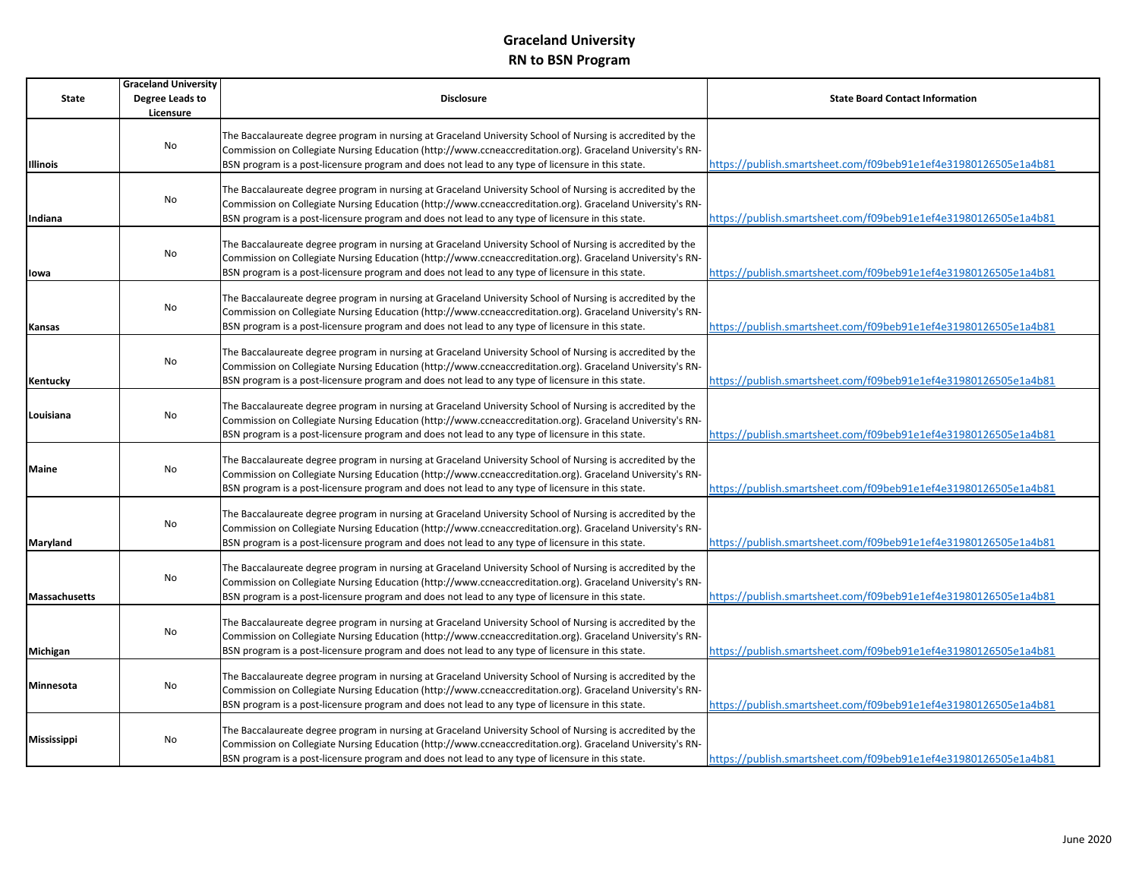|                      | <b>Graceland University</b> |                                                                                                                                                                                                                                                                                                                              |                                                                 |
|----------------------|-----------------------------|------------------------------------------------------------------------------------------------------------------------------------------------------------------------------------------------------------------------------------------------------------------------------------------------------------------------------|-----------------------------------------------------------------|
| <b>State</b>         | Degree Leads to             | <b>Disclosure</b>                                                                                                                                                                                                                                                                                                            | <b>State Board Contact Information</b>                          |
|                      | Licensure                   |                                                                                                                                                                                                                                                                                                                              |                                                                 |
| <b>Illinois</b>      | No                          | The Baccalaureate degree program in nursing at Graceland University School of Nursing is accredited by the<br>Commission on Collegiate Nursing Education (http://www.ccneaccreditation.org). Graceland University's RN-<br>BSN program is a post-licensure program and does not lead to any type of licensure in this state. | https://publish.smartsheet.com/f09beb91e1ef4e31980126505e1a4b81 |
| Indiana              | No                          | The Baccalaureate degree program in nursing at Graceland University School of Nursing is accredited by the<br>Commission on Collegiate Nursing Education (http://www.ccneaccreditation.org). Graceland University's RN-<br>BSN program is a post-licensure program and does not lead to any type of licensure in this state. | https://publish.smartsheet.com/f09beb91e1ef4e31980126505e1a4b81 |
| lowa                 | No                          | The Baccalaureate degree program in nursing at Graceland University School of Nursing is accredited by the<br>Commission on Collegiate Nursing Education (http://www.ccneaccreditation.org). Graceland University's RN-<br>BSN program is a post-licensure program and does not lead to any type of licensure in this state. | https://publish.smartsheet.com/f09beb91e1ef4e31980126505e1a4b81 |
| Kansas               | No                          | The Baccalaureate degree program in nursing at Graceland University School of Nursing is accredited by the<br>Commission on Collegiate Nursing Education (http://www.ccneaccreditation.org). Graceland University's RN-<br>BSN program is a post-licensure program and does not lead to any type of licensure in this state. | https://publish.smartsheet.com/f09beb91e1ef4e31980126505e1a4b81 |
| Kentucky             | No                          | The Baccalaureate degree program in nursing at Graceland University School of Nursing is accredited by the<br>Commission on Collegiate Nursing Education (http://www.ccneaccreditation.org). Graceland University's RN-<br>BSN program is a post-licensure program and does not lead to any type of licensure in this state. | https://publish.smartsheet.com/f09beb91e1ef4e31980126505e1a4b81 |
| Louisiana            | No                          | The Baccalaureate degree program in nursing at Graceland University School of Nursing is accredited by the<br>Commission on Collegiate Nursing Education (http://www.ccneaccreditation.org). Graceland University's RN-<br>BSN program is a post-licensure program and does not lead to any type of licensure in this state. | https://publish.smartsheet.com/f09beb91e1ef4e31980126505e1a4b81 |
| Maine                | No                          | The Baccalaureate degree program in nursing at Graceland University School of Nursing is accredited by the<br>Commission on Collegiate Nursing Education (http://www.ccneaccreditation.org). Graceland University's RN-<br>BSN program is a post-licensure program and does not lead to any type of licensure in this state. | https://publish.smartsheet.com/f09beb91e1ef4e31980126505e1a4b81 |
| Maryland             | No                          | The Baccalaureate degree program in nursing at Graceland University School of Nursing is accredited by the<br>Commission on Collegiate Nursing Education (http://www.ccneaccreditation.org). Graceland University's RN-<br>BSN program is a post-licensure program and does not lead to any type of licensure in this state. | https://publish.smartsheet.com/f09beb91e1ef4e31980126505e1a4b81 |
| <b>Massachusetts</b> | No                          | The Baccalaureate degree program in nursing at Graceland University School of Nursing is accredited by the<br>Commission on Collegiate Nursing Education (http://www.ccneaccreditation.org). Graceland University's RN-<br>BSN program is a post-licensure program and does not lead to any type of licensure in this state. | https://publish.smartsheet.com/f09beb91e1ef4e31980126505e1a4b81 |
| Michigan             | No                          | The Baccalaureate degree program in nursing at Graceland University School of Nursing is accredited by the<br>Commission on Collegiate Nursing Education (http://www.ccneaccreditation.org). Graceland University's RN-<br>BSN program is a post-licensure program and does not lead to any type of licensure in this state. | https://publish.smartsheet.com/f09beb91e1ef4e31980126505e1a4b81 |
| Minnesota            | No                          | The Baccalaureate degree program in nursing at Graceland University School of Nursing is accredited by the<br>Commission on Collegiate Nursing Education (http://www.ccneaccreditation.org). Graceland University's RN-<br>BSN program is a post-licensure program and does not lead to any type of licensure in this state. | https://publish.smartsheet.com/f09beb91e1ef4e31980126505e1a4b81 |
| Mississippi          | No                          | The Baccalaureate degree program in nursing at Graceland University School of Nursing is accredited by the<br>Commission on Collegiate Nursing Education (http://www.ccneaccreditation.org). Graceland University's RN-<br>BSN program is a post-licensure program and does not lead to any type of licensure in this state. | https://publish.smartsheet.com/f09beb91e1ef4e31980126505e1a4b81 |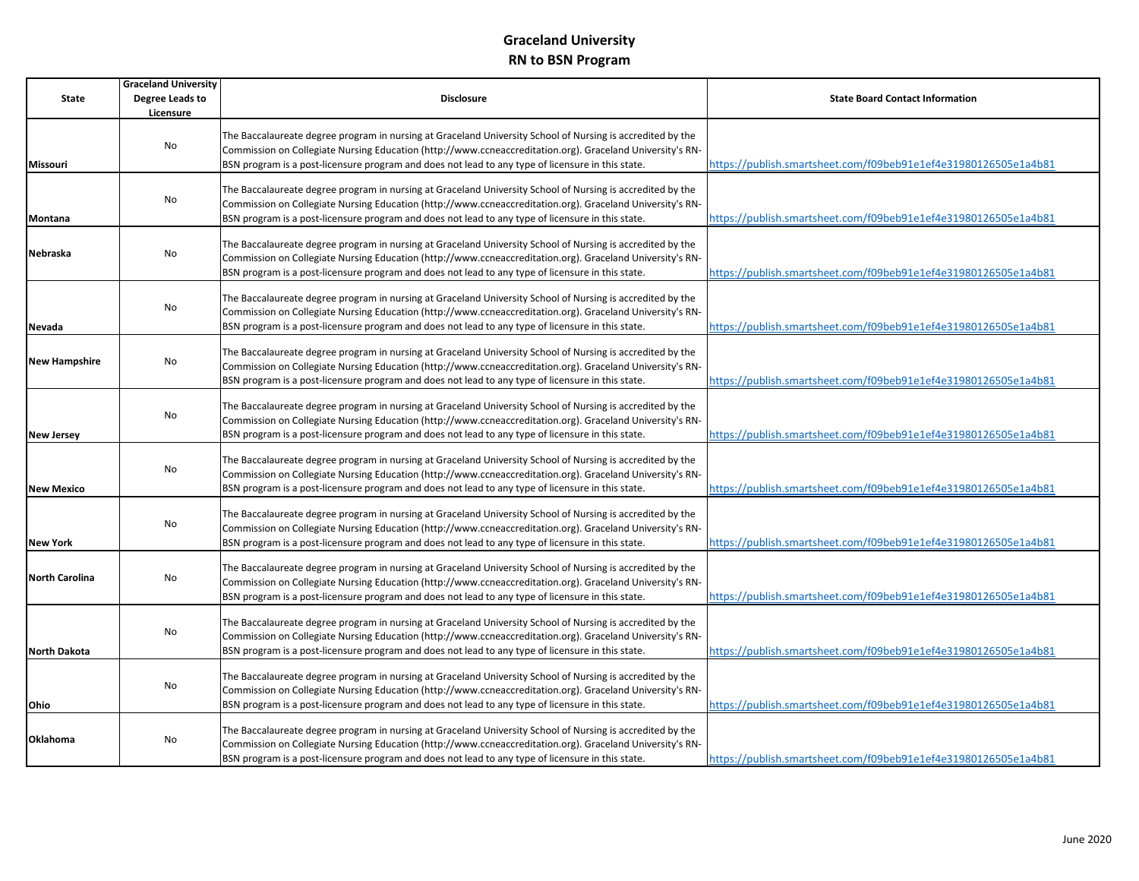|                       | <b>Graceland University</b> |                                                                                                                                                                                                                         |                                                                 |
|-----------------------|-----------------------------|-------------------------------------------------------------------------------------------------------------------------------------------------------------------------------------------------------------------------|-----------------------------------------------------------------|
| State                 | Degree Leads to             | <b>Disclosure</b>                                                                                                                                                                                                       | <b>State Board Contact Information</b>                          |
|                       | Licensure                   |                                                                                                                                                                                                                         |                                                                 |
|                       |                             | The Baccalaureate degree program in nursing at Graceland University School of Nursing is accredited by the                                                                                                              |                                                                 |
|                       | No                          | Commission on Collegiate Nursing Education (http://www.ccneaccreditation.org). Graceland University's RN-                                                                                                               |                                                                 |
| <b>Missouri</b>       |                             | BSN program is a post-licensure program and does not lead to any type of licensure in this state.                                                                                                                       | https://publish.smartsheet.com/f09beb91e1ef4e31980126505e1a4b81 |
|                       |                             |                                                                                                                                                                                                                         |                                                                 |
|                       |                             | The Baccalaureate degree program in nursing at Graceland University School of Nursing is accredited by the                                                                                                              |                                                                 |
|                       | No                          | Commission on Collegiate Nursing Education (http://www.ccneaccreditation.org). Graceland University's RN-                                                                                                               |                                                                 |
| Montana               |                             | BSN program is a post-licensure program and does not lead to any type of licensure in this state.                                                                                                                       | https://publish.smartsheet.com/f09beb91e1ef4e31980126505e1a4b81 |
|                       |                             |                                                                                                                                                                                                                         |                                                                 |
| Nebraska              | No                          | The Baccalaureate degree program in nursing at Graceland University School of Nursing is accredited by the                                                                                                              |                                                                 |
|                       |                             | Commission on Collegiate Nursing Education (http://www.ccneaccreditation.org). Graceland University's RN-                                                                                                               |                                                                 |
|                       |                             | BSN program is a post-licensure program and does not lead to any type of licensure in this state.                                                                                                                       | https://publish.smartsheet.com/f09beb91e1ef4e31980126505e1a4b81 |
|                       |                             |                                                                                                                                                                                                                         |                                                                 |
|                       | No                          | The Baccalaureate degree program in nursing at Graceland University School of Nursing is accredited by the                                                                                                              |                                                                 |
|                       |                             | Commission on Collegiate Nursing Education (http://www.ccneaccreditation.org). Graceland University's RN-                                                                                                               |                                                                 |
| Nevada                |                             | BSN program is a post-licensure program and does not lead to any type of licensure in this state.                                                                                                                       | https://publish.smartsheet.com/f09beb91e1ef4e31980126505e1a4b81 |
|                       |                             | The Baccalaureate degree program in nursing at Graceland University School of Nursing is accredited by the                                                                                                              |                                                                 |
| <b>New Hampshire</b>  | No                          | Commission on Collegiate Nursing Education (http://www.ccneaccreditation.org). Graceland University's RN-                                                                                                               |                                                                 |
|                       |                             | BSN program is a post-licensure program and does not lead to any type of licensure in this state.                                                                                                                       | https://publish.smartsheet.com/f09beb91e1ef4e31980126505e1a4b81 |
|                       |                             |                                                                                                                                                                                                                         |                                                                 |
|                       |                             | The Baccalaureate degree program in nursing at Graceland University School of Nursing is accredited by the                                                                                                              |                                                                 |
|                       | No                          | Commission on Collegiate Nursing Education (http://www.ccneaccreditation.org). Graceland University's RN-                                                                                                               |                                                                 |
| <b>New Jersey</b>     |                             | BSN program is a post-licensure program and does not lead to any type of licensure in this state.                                                                                                                       | https://publish.smartsheet.com/f09beb91e1ef4e31980126505e1a4b81 |
|                       |                             |                                                                                                                                                                                                                         |                                                                 |
|                       |                             | The Baccalaureate degree program in nursing at Graceland University School of Nursing is accredited by the                                                                                                              |                                                                 |
|                       | No                          | Commission on Collegiate Nursing Education (http://www.ccneaccreditation.org). Graceland University's RN-                                                                                                               |                                                                 |
| <b>New Mexico</b>     |                             | BSN program is a post-licensure program and does not lead to any type of licensure in this state.                                                                                                                       | https://publish.smartsheet.com/f09beb91e1ef4e31980126505e1a4b81 |
|                       |                             |                                                                                                                                                                                                                         |                                                                 |
|                       |                             | The Baccalaureate degree program in nursing at Graceland University School of Nursing is accredited by the                                                                                                              |                                                                 |
|                       | No                          | Commission on Collegiate Nursing Education (http://www.ccneaccreditation.org). Graceland University's RN-                                                                                                               |                                                                 |
| <b>New York</b>       |                             | BSN program is a post-licensure program and does not lead to any type of licensure in this state.                                                                                                                       | https://publish.smartsheet.com/f09beb91e1ef4e31980126505e1a4b81 |
|                       |                             |                                                                                                                                                                                                                         |                                                                 |
| <b>North Carolina</b> | No                          | The Baccalaureate degree program in nursing at Graceland University School of Nursing is accredited by the                                                                                                              |                                                                 |
|                       |                             | Commission on Collegiate Nursing Education (http://www.ccneaccreditation.org). Graceland University's RN-                                                                                                               |                                                                 |
|                       |                             | BSN program is a post-licensure program and does not lead to any type of licensure in this state.                                                                                                                       | https://publish.smartsheet.com/f09beb91e1ef4e31980126505e1a4b81 |
|                       |                             |                                                                                                                                                                                                                         |                                                                 |
|                       | No                          | The Baccalaureate degree program in nursing at Graceland University School of Nursing is accredited by the<br>Commission on Collegiate Nursing Education (http://www.ccneaccreditation.org). Graceland University's RN- |                                                                 |
|                       |                             |                                                                                                                                                                                                                         |                                                                 |
| <b>North Dakota</b>   |                             | BSN program is a post-licensure program and does not lead to any type of licensure in this state.                                                                                                                       | https://publish.smartsheet.com/f09beb91e1ef4e31980126505e1a4b81 |
|                       |                             | The Baccalaureate degree program in nursing at Graceland University School of Nursing is accredited by the                                                                                                              |                                                                 |
|                       | No                          | Commission on Collegiate Nursing Education (http://www.ccneaccreditation.org). Graceland University's RN-                                                                                                               |                                                                 |
|                       |                             | BSN program is a post-licensure program and does not lead to any type of licensure in this state.                                                                                                                       | https://publish.smartsheet.com/f09beb91e1ef4e31980126505e1a4b81 |
| Ohio                  |                             |                                                                                                                                                                                                                         |                                                                 |
|                       |                             | The Baccalaureate degree program in nursing at Graceland University School of Nursing is accredited by the                                                                                                              |                                                                 |
| Oklahoma              | No                          | Commission on Collegiate Nursing Education (http://www.ccneaccreditation.org). Graceland University's RN-                                                                                                               |                                                                 |
|                       |                             | BSN program is a post-licensure program and does not lead to any type of licensure in this state.                                                                                                                       | https://publish.smartsheet.com/f09beb91e1ef4e31980126505e1a4b81 |
|                       |                             |                                                                                                                                                                                                                         |                                                                 |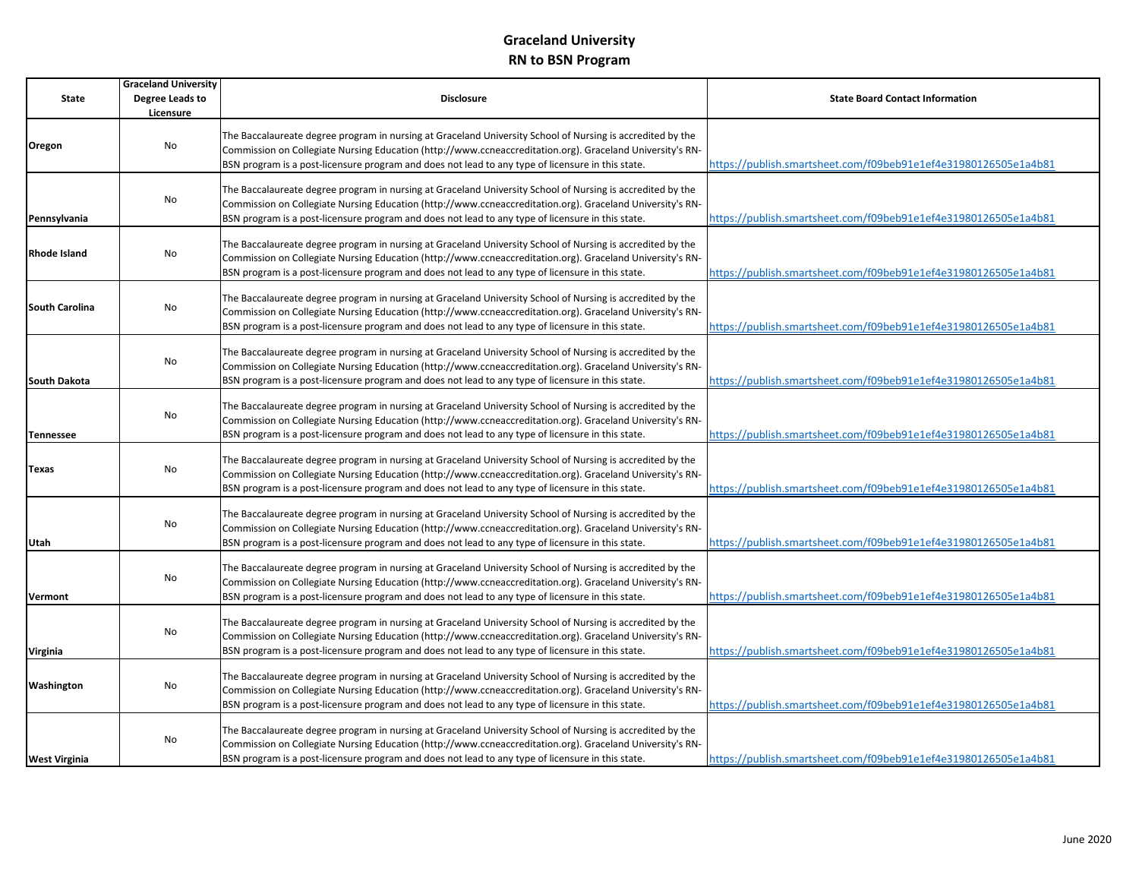|                       | <b>Graceland University</b> |                                                                                                            |                                                                 |
|-----------------------|-----------------------------|------------------------------------------------------------------------------------------------------------|-----------------------------------------------------------------|
| <b>State</b>          | Degree Leads to             | <b>Disclosure</b>                                                                                          | <b>State Board Contact Information</b>                          |
|                       | Licensure                   |                                                                                                            |                                                                 |
|                       |                             | The Baccalaureate degree program in nursing at Graceland University School of Nursing is accredited by the |                                                                 |
| Oregon                | No                          | Commission on Collegiate Nursing Education (http://www.ccneaccreditation.org). Graceland University's RN-  |                                                                 |
|                       |                             |                                                                                                            | https://publish.smartsheet.com/f09beb91e1ef4e31980126505e1a4b81 |
|                       |                             | BSN program is a post-licensure program and does not lead to any type of licensure in this state.          |                                                                 |
|                       |                             | The Baccalaureate degree program in nursing at Graceland University School of Nursing is accredited by the |                                                                 |
|                       | No                          | Commission on Collegiate Nursing Education (http://www.ccneaccreditation.org). Graceland University's RN-  |                                                                 |
| Pennsylvania          |                             | BSN program is a post-licensure program and does not lead to any type of licensure in this state.          | https://publish.smartsheet.com/f09beb91e1ef4e31980126505e1a4b81 |
|                       |                             |                                                                                                            |                                                                 |
|                       |                             | The Baccalaureate degree program in nursing at Graceland University School of Nursing is accredited by the |                                                                 |
| Rhode Island          | No                          | Commission on Collegiate Nursing Education (http://www.ccneaccreditation.org). Graceland University's RN-  |                                                                 |
|                       |                             | BSN program is a post-licensure program and does not lead to any type of licensure in this state.          | https://publish.smartsheet.com/f09beb91e1ef4e31980126505e1a4b81 |
|                       |                             |                                                                                                            |                                                                 |
| <b>South Carolina</b> | No                          | The Baccalaureate degree program in nursing at Graceland University School of Nursing is accredited by the |                                                                 |
|                       |                             | Commission on Collegiate Nursing Education (http://www.ccneaccreditation.org). Graceland University's RN-  |                                                                 |
|                       |                             | BSN program is a post-licensure program and does not lead to any type of licensure in this state.          | https://publish.smartsheet.com/f09beb91e1ef4e31980126505e1a4b81 |
|                       |                             | The Baccalaureate degree program in nursing at Graceland University School of Nursing is accredited by the |                                                                 |
|                       | No                          | Commission on Collegiate Nursing Education (http://www.ccneaccreditation.org). Graceland University's RN-  |                                                                 |
| South Dakota          |                             | BSN program is a post-licensure program and does not lead to any type of licensure in this state.          | https://publish.smartsheet.com/f09beb91e1ef4e31980126505e1a4b81 |
|                       |                             |                                                                                                            |                                                                 |
|                       |                             | The Baccalaureate degree program in nursing at Graceland University School of Nursing is accredited by the |                                                                 |
|                       | No                          | Commission on Collegiate Nursing Education (http://www.ccneaccreditation.org). Graceland University's RN-  |                                                                 |
| <b>Tennessee</b>      |                             | BSN program is a post-licensure program and does not lead to any type of licensure in this state.          | https://publish.smartsheet.com/f09beb91e1ef4e31980126505e1a4b81 |
|                       |                             |                                                                                                            |                                                                 |
| Texas                 | No                          | The Baccalaureate degree program in nursing at Graceland University School of Nursing is accredited by the |                                                                 |
|                       |                             | Commission on Collegiate Nursing Education (http://www.ccneaccreditation.org). Graceland University's RN-  |                                                                 |
|                       |                             | BSN program is a post-licensure program and does not lead to any type of licensure in this state.          | https://publish.smartsheet.com/f09beb91e1ef4e31980126505e1a4b81 |
|                       |                             | The Baccalaureate degree program in nursing at Graceland University School of Nursing is accredited by the |                                                                 |
|                       | No                          | Commission on Collegiate Nursing Education (http://www.ccneaccreditation.org). Graceland University's RN-  |                                                                 |
| Utah                  |                             | BSN program is a post-licensure program and does not lead to any type of licensure in this state.          | https://publish.smartsheet.com/f09beb91e1ef4e31980126505e1a4b81 |
|                       |                             |                                                                                                            |                                                                 |
|                       | No                          | The Baccalaureate degree program in nursing at Graceland University School of Nursing is accredited by the |                                                                 |
|                       |                             | Commission on Collegiate Nursing Education (http://www.ccneaccreditation.org). Graceland University's RN-  |                                                                 |
| <b>Vermont</b>        |                             | BSN program is a post-licensure program and does not lead to any type of licensure in this state.          | https://publish.smartsheet.com/f09beb91e1ef4e31980126505e1a4b81 |
|                       |                             | The Baccalaureate degree program in nursing at Graceland University School of Nursing is accredited by the |                                                                 |
|                       | No                          | Commission on Collegiate Nursing Education (http://www.ccneaccreditation.org). Graceland University's RN-  |                                                                 |
| Virginia              |                             | BSN program is a post-licensure program and does not lead to any type of licensure in this state.          | https://publish.smartsheet.com/f09beb91e1ef4e31980126505e1a4b81 |
|                       |                             |                                                                                                            |                                                                 |
|                       |                             | The Baccalaureate degree program in nursing at Graceland University School of Nursing is accredited by the |                                                                 |
| Washington            | No                          | Commission on Collegiate Nursing Education (http://www.ccneaccreditation.org). Graceland University's RN-  |                                                                 |
|                       |                             | BSN program is a post-licensure program and does not lead to any type of licensure in this state.          | https://publish.smartsheet.com/f09beb91e1ef4e31980126505e1a4b81 |
|                       |                             |                                                                                                            |                                                                 |
|                       | No                          | The Baccalaureate degree program in nursing at Graceland University School of Nursing is accredited by the |                                                                 |
|                       |                             | Commission on Collegiate Nursing Education (http://www.ccneaccreditation.org). Graceland University's RN-  |                                                                 |
| <b>West Virginia</b>  |                             | BSN program is a post-licensure program and does not lead to any type of licensure in this state.          | https://publish.smartsheet.com/f09beb91e1ef4e31980126505e1a4b81 |